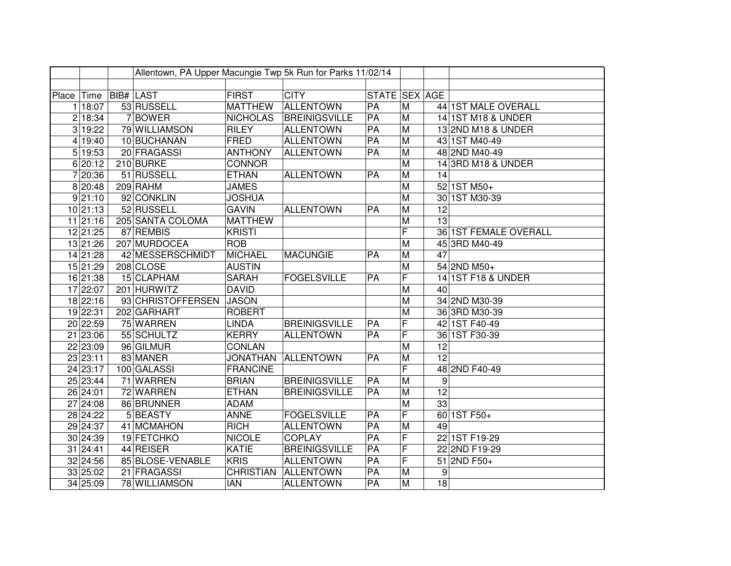|            | Allentown, PA Upper Macungie Twp 5k Run for Parks 11/02/14 |                  |                   |                  |                      |               |                         |                  |                       |
|------------|------------------------------------------------------------|------------------|-------------------|------------------|----------------------|---------------|-------------------------|------------------|-----------------------|
|            |                                                            |                  |                   |                  |                      |               |                         |                  |                       |
| Place Time |                                                            | <b>BIB# LAST</b> |                   | <b>FIRST</b>     | <b>CITY</b>          | STATE SEX AGE |                         |                  |                       |
|            | 1 18:07                                                    |                  | 53 RUSSELL        | <b>MATTHEW</b>   | <b>ALLENTOWN</b>     | PA            | M                       |                  | 44 1ST MALE OVERALL   |
|            | 2 18:34                                                    |                  | 7BOWER            | <b>NICHOLAS</b>  | <b>BREINIGSVILLE</b> | PA            | M                       |                  | 14 1ST M18 & UNDER    |
|            | 3 19:22                                                    |                  | 79 WILLIAMSON     | <b>RILEY</b>     | <b>ALLENTOWN</b>     | PA            | $\overline{M}$          |                  | 13 2ND M18 & UNDER    |
|            | 4 19:40                                                    |                  | 10 BUCHANAN       | <b>FRED</b>      | <b>ALLENTOWN</b>     | PA            | $\overline{M}$          |                  | 43 1ST M40-49         |
|            | 5 19:53                                                    |                  | 20 FRAGASSI       | <b>ANTHONY</b>   | <b>ALLENTOWN</b>     | PA            | M                       |                  | 48 2ND M40-49         |
|            | 6 20:12                                                    |                  | 210 BURKE         | <b>CONNOR</b>    |                      |               | $\overline{M}$          |                  | 14 3RD M18 & UNDER    |
|            | 7 20:36                                                    |                  | 51 RUSSELL        | <b>ETHAN</b>     | <b>ALLENTOWN</b>     | PA            | M                       | 14               |                       |
|            | 8 20:48                                                    |                  | 209 RAHM          | <b>JAMES</b>     |                      |               | $\overline{M}$          |                  | 52 1ST M50+           |
|            | 9 21:10                                                    |                  | 92 CONKLIN        | <b>JOSHUA</b>    |                      |               | M                       |                  | 30 1ST M30-39         |
|            | 10 21:13                                                   |                  | 52 RUSSELL        | <b>GAVIN</b>     | <b>ALLENTOWN</b>     | PA            | M                       | 12               |                       |
|            | 11 21:16                                                   |                  | 205 SANTA COLOMA  | <b>MATTHEW</b>   |                      |               | M                       | $\overline{13}$  |                       |
|            | 12 21:25                                                   |                  | 87 REMBIS         | <b>KRISTI</b>    |                      |               | F                       |                  | 36 1ST FEMALE OVERALL |
|            | 13 21:26                                                   |                  | 207 MURDOCEA      | <b>ROB</b>       |                      |               | M                       |                  | 45 3RD M40-49         |
|            | 14 21:28                                                   |                  | 42 MESSERSCHMIDT  | <b>MICHAEL</b>   | <b>MACUNGIE</b>      | PA            | M                       | 47               |                       |
|            | 15 21:29                                                   |                  | 208 CLOSE         | <b>AUSTIN</b>    |                      |               | M                       |                  | 54 2ND M50+           |
|            | 16 21:38                                                   |                  | 15 CLAPHAM        | <b>SARAH</b>     | <b>FOGELSVILLE</b>   | PA            | F                       |                  | 14 1ST F18 & UNDER    |
|            | 17 22:07                                                   |                  | 201 HURWITZ       | <b>DAVID</b>     |                      |               | M                       | 40               |                       |
|            | 18 22:16                                                   |                  | 93 CHRISTOFFERSEN | <b>JASON</b>     |                      |               | M                       |                  | 34 2ND M30-39         |
|            | 19 22:31                                                   |                  | 202 GARHART       | <b>ROBERT</b>    |                      |               | M                       |                  | 36 3RD M30-39         |
|            | 20 22:59                                                   |                  | 75 WARREN         | <b>LINDA</b>     | <b>BREINIGSVILLE</b> | PA            | F                       |                  | 42 1ST F40-49         |
|            | 21 23:06                                                   |                  | 55 SCHULTZ        | <b>KERRY</b>     | <b>ALLENTOWN</b>     | PA            | F                       |                  | 36 1ST F30-39         |
|            | 22 23:09                                                   |                  | 96 GILMUR         | <b>CONLAN</b>    |                      |               | M                       | 12               |                       |
|            | 23 23:11                                                   |                  | 83 MANER          | <b>JONATHAN</b>  | <b>ALLENTOWN</b>     | PA            | M                       | 12               |                       |
|            | 24 23:17                                                   |                  | 100 GALASSI       | <b>FRANCINE</b>  |                      |               | F                       |                  | 48 2ND F40-49         |
|            | 25 23:44                                                   |                  | 71 WARREN         | <b>BRIAN</b>     | <b>BREINIGSVILLE</b> | PA            | $\overline{\mathsf{M}}$ | $\boldsymbol{9}$ |                       |
|            | 26 24:01                                                   |                  | 72 WARREN         | <b>ETHAN</b>     | <b>BREINIGSVILLE</b> | PA            | M                       | 12               |                       |
|            | 27 24:08                                                   |                  | 86 BRUNNER        | <b>ADAM</b>      |                      |               | M                       | 33               |                       |
|            | 28 24:22                                                   |                  | 5 BEASTY          | <b>ANNE</b>      | <b>FOGELSVILLE</b>   | PA            | F                       |                  | 60 1ST F50+           |
|            | 29 24:37                                                   |                  | 41 MCMAHON        | <b>RICH</b>      | <b>ALLENTOWN</b>     | PA            | M                       | 49               |                       |
|            | 30 24:39                                                   |                  | 19 FETCHKO        | <b>NICOLE</b>    | <b>COPLAY</b>        | PA            | F                       |                  | 22 1ST F19-29         |
|            | 31 24:41                                                   |                  | 44 REISER         | <b>KATIE</b>     | <b>BREINIGSVILLE</b> | PA            | F                       |                  | 22 2ND F19-29         |
|            | 32 24:56                                                   |                  | 85 BLOSE-VENABLE  | <b>KRIS</b>      | <b>ALLENTOWN</b>     | PA            | F                       |                  | 51 2ND F50+           |
|            | 33 25:02                                                   |                  | 21 FRAGASSI       | <b>CHRISTIAN</b> | <b>ALLENTOWN</b>     | PA            | M                       | 9                |                       |
|            | 34 25:09                                                   |                  | 78 WILLIAMSON     | <b>IAN</b>       | <b>ALLENTOWN</b>     | PA            | $\overline{M}$          | 18               |                       |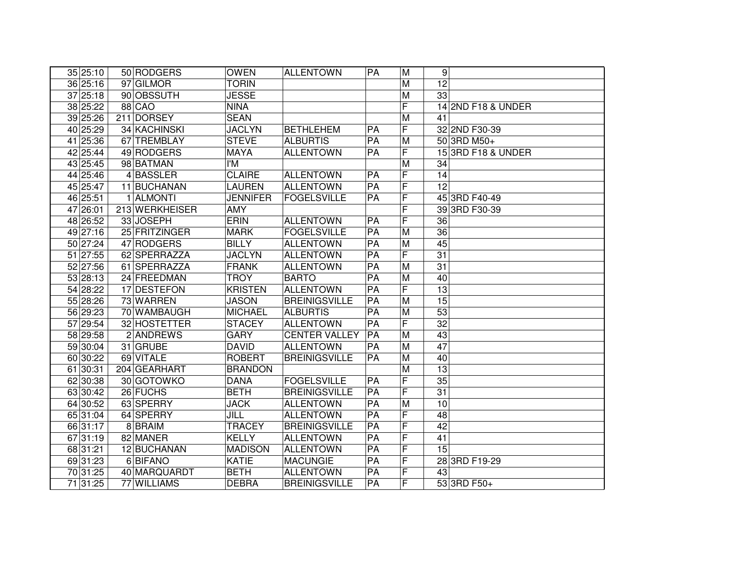| 35 25:10 | 50 RODGERS     | <b>OWEN</b>     | <b>ALLENTOWN</b>     | PA              | M                       | 9               |                    |
|----------|----------------|-----------------|----------------------|-----------------|-------------------------|-----------------|--------------------|
| 36 25:16 | 97 GILMOR      | <b>TORIN</b>    |                      |                 | M                       | 12              |                    |
| 37 25:18 | 90 OBSSUTH     | <b>JESSE</b>    |                      |                 | $\overline{M}$          | 33              |                    |
| 38 25:22 | <b>88 CAO</b>  | <b>NINA</b>     |                      |                 | F                       |                 | 14 2ND F18 & UNDER |
| 39 25:26 | 211 DORSEY     | <b>SEAN</b>     |                      |                 | $\overline{M}$          | 41              |                    |
| 40 25:29 | 34 KACHINSKI   | <b>JACLYN</b>   | <b>BETHLEHEM</b>     | PA              | F                       |                 | 32 2ND F30-39      |
| 41 25:36 | 67 TREMBLAY    | <b>STEVE</b>    | <b>ALBURTIS</b>      | $\overline{PA}$ | M                       |                 | 50 3RD M50+        |
| 42 25:44 | 49 RODGERS     | <b>MAYA</b>     | <b>ALLENTOWN</b>     | PA              | F                       |                 | 15 3RD F18 & UNDER |
| 43 25:45 | 98 BATMAN      | I'M             |                      |                 | $\overline{M}$          | 34              |                    |
| 44 25:46 | 4BASSLER       | <b>CLAIRE</b>   | <b>ALLENTOWN</b>     | PA              | $\overline{\mathsf{F}}$ | $\overline{14}$ |                    |
| 45 25:47 | 11 BUCHANAN    | <b>LAUREN</b>   | <b>ALLENTOWN</b>     | $\overline{PA}$ | F                       | $\overline{12}$ |                    |
| 46 25:51 | 1 ALMONTI      | <b>JENNIFER</b> | <b>FOGELSVILLE</b>   | $\overline{PA}$ | F                       |                 | 45 3RD F40-49      |
| 47 26:01 | 213 WERKHEISER | <b>AMY</b>      |                      |                 | F                       |                 | 39 3RD F30-39      |
| 48 26:52 | 33 JOSEPH      | <b>ERIN</b>     | <b>ALLENTOWN</b>     | PA              | F                       | 36              |                    |
| 49 27:16 | 25 FRITZINGER  | <b>MARK</b>     | <b>FOGELSVILLE</b>   | PA              | M                       | 36              |                    |
| 50 27:24 | 47 RODGERS     | <b>BILLY</b>    | <b>ALLENTOWN</b>     | PA              | M                       | 45              |                    |
| 51 27:55 | 62 SPERRAZZA   | <b>JACLYN</b>   | <b>ALLENTOWN</b>     | PA              | F                       | 31              |                    |
| 52 27:56 | 61 SPERRAZZA   | <b>FRANK</b>    | <b>ALLENTOWN</b>     | PA              | M                       | 31              |                    |
| 53 28:13 | 24 FREEDMAN    | <b>TROY</b>     | <b>BARTO</b>         | PA              | M                       | 40              |                    |
| 54 28:22 | 17 DESTEFON    | <b>KRISTEN</b>  | ALLENTOWN            | PA              | F                       | 13              |                    |
| 55 28:26 | 73 WARREN      | <b>JASON</b>    | <b>BREINIGSVILLE</b> | PA              | M                       | 15              |                    |
| 56 29:23 | 70 WAMBAUGH    | <b>MICHAEL</b>  | <b>ALBURTIS</b>      | PA              | M                       | 53              |                    |
| 57 29:54 | 32 HOSTETTER   | <b>STACEY</b>   | <b>ALLENTOWN</b>     | PA              | F                       | 32              |                    |
| 58 29:58 | 2 ANDREWS      | <b>GARY</b>     | <b>CENTER VALLEY</b> | PA              | M                       | 43              |                    |
| 59 30:04 | 31 GRUBE       | <b>DAVID</b>    | <b>ALLENTOWN</b>     | PA              | M                       | $\overline{47}$ |                    |
| 60 30:22 | 69 VITALE      | <b>ROBERT</b>   | <b>BREINIGSVILLE</b> | PA              | M                       | 40              |                    |
| 61 30:31 | 204 GEARHART   | <b>BRANDON</b>  |                      |                 | M                       | 13              |                    |
| 62 30:38 | 30 GOTOWKO     | <b>DANA</b>     | <b>FOGELSVILLE</b>   | PA              | F                       | 35              |                    |
| 63 30:42 | 26 FUCHS       | <b>BETH</b>     | <b>BREINIGSVILLE</b> | $\overline{PA}$ | F                       | $\overline{31}$ |                    |
| 64 30:52 | 63 SPERRY      | <b>JACK</b>     | <b>ALLENTOWN</b>     | PA              | M                       | 10              |                    |
| 65 31:04 | 64 SPERRY      | JILL            | <b>ALLENTOWN</b>     | $\overline{PA}$ | F                       | $\overline{48}$ |                    |
| 66 31:17 | 8BRAIM         | <b>TRACEY</b>   | <b>BREINIGSVILLE</b> | PA              | F                       | $\overline{42}$ |                    |
| 67 31:19 | 82 MANER       | <b>KELLY</b>    | <b>ALLENTOWN</b>     | $\overline{PA}$ | F                       | 41              |                    |
| 68 31:21 | 12 BUCHANAN    | <b>MADISON</b>  | <b>ALLENTOWN</b>     | $\overline{PA}$ | F                       | $\overline{15}$ |                    |
| 69 31:23 | 6 BIFANO       | <b>KATIE</b>    | <b>MACUNGIE</b>      | PA              | F                       |                 | 28 3RD F19-29      |
| 70 31:25 | 40 MARQUARDT   | <b>BETH</b>     | <b>ALLENTOWN</b>     | $\overline{PA}$ | F                       | 43              |                    |
| 71 31:25 | 77 WILLIAMS    | <b>DEBRA</b>    | <b>BREINIGSVILLE</b> | $\overline{PA}$ | F                       |                 | 53 3RD F50+        |